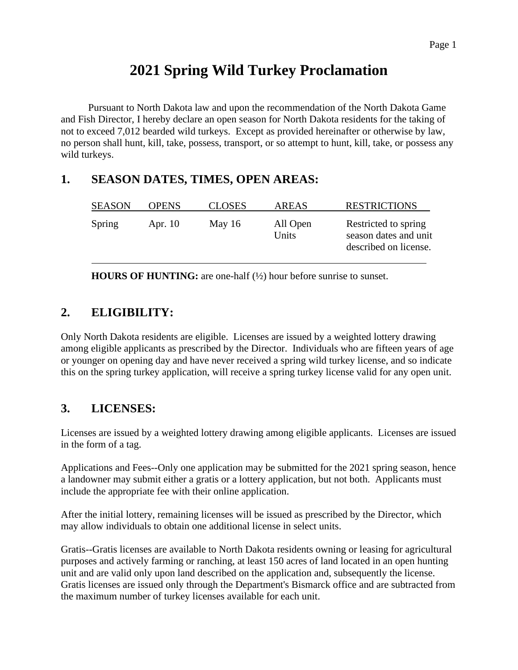# **2021 Spring Wild Turkey Proclamation**

Pursuant to North Dakota law and upon the recommendation of the North Dakota Game and Fish Director, I hereby declare an open season for North Dakota residents for the taking of not to exceed 7,012 bearded wild turkeys. Except as provided hereinafter or otherwise by law, no person shall hunt, kill, take, possess, transport, or so attempt to hunt, kill, take, or possess any wild turkeys.

#### **1. SEASON DATES, TIMES, OPEN AREAS:**

| <b>SEASON</b> | <b>OPENS</b> | <b>CLOSES</b> | <b>AREAS</b>      | <b>RESTRICTIONS</b>                                                    |
|---------------|--------------|---------------|-------------------|------------------------------------------------------------------------|
| Spring        | Apr. $10$    | May $16$      | All Open<br>Units | Restricted to spring<br>season dates and unit<br>described on license. |

**HOURS OF HUNTING:** are one-half (½) hour before sunrise to sunset.

## **2. ELIGIBILITY:**

Only North Dakota residents are eligible. Licenses are issued by a weighted lottery drawing among eligible applicants as prescribed by the Director. Individuals who are fifteen years of age or younger on opening day and have never received a spring wild turkey license, and so indicate this on the spring turkey application, will receive a spring turkey license valid for any open unit.

## **3. LICENSES:**

Licenses are issued by a weighted lottery drawing among eligible applicants. Licenses are issued in the form of a tag.

Applications and Fees--Only one application may be submitted for the 2021 spring season, hence a landowner may submit either a gratis or a lottery application, but not both. Applicants must include the appropriate fee with their online application.

After the initial lottery, remaining licenses will be issued as prescribed by the Director, which may allow individuals to obtain one additional license in select units.

Gratis--Gratis licenses are available to North Dakota residents owning or leasing for agricultural purposes and actively farming or ranching, at least 150 acres of land located in an open hunting unit and are valid only upon land described on the application and, subsequently the license. Gratis licenses are issued only through the Department's Bismarck office and are subtracted from the maximum number of turkey licenses available for each unit.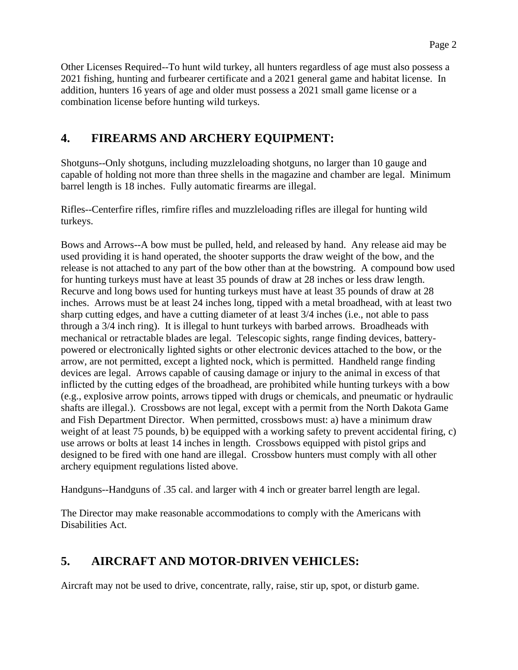Other Licenses Required--To hunt wild turkey, all hunters regardless of age must also possess a 2021 fishing, hunting and furbearer certificate and a 2021 general game and habitat license. In addition, hunters 16 years of age and older must possess a 2021 small game license or a combination license before hunting wild turkeys.

## **4. FIREARMS AND ARCHERY EQUIPMENT:**

Shotguns--Only shotguns, including muzzleloading shotguns, no larger than 10 gauge and capable of holding not more than three shells in the magazine and chamber are legal. Minimum barrel length is 18 inches. Fully automatic firearms are illegal.

Rifles--Centerfire rifles, rimfire rifles and muzzleloading rifles are illegal for hunting wild turkeys.

Bows and Arrows--A bow must be pulled, held, and released by hand. Any release aid may be used providing it is hand operated, the shooter supports the draw weight of the bow, and the release is not attached to any part of the bow other than at the bowstring. A compound bow used for hunting turkeys must have at least 35 pounds of draw at 28 inches or less draw length. Recurve and long bows used for hunting turkeys must have at least 35 pounds of draw at 28 inches. Arrows must be at least 24 inches long, tipped with a metal broadhead, with at least two sharp cutting edges, and have a cutting diameter of at least 3/4 inches (i.e., not able to pass through a 3/4 inch ring). It is illegal to hunt turkeys with barbed arrows. Broadheads with mechanical or retractable blades are legal. Telescopic sights, range finding devices, batterypowered or electronically lighted sights or other electronic devices attached to the bow, or the arrow, are not permitted, except a lighted nock, which is permitted. Handheld range finding devices are legal. Arrows capable of causing damage or injury to the animal in excess of that inflicted by the cutting edges of the broadhead, are prohibited while hunting turkeys with a bow (e.g., explosive arrow points, arrows tipped with drugs or chemicals, and pneumatic or hydraulic shafts are illegal.). Crossbows are not legal, except with a permit from the North Dakota Game and Fish Department Director. When permitted, crossbows must: a) have a minimum draw weight of at least 75 pounds, b) be equipped with a working safety to prevent accidental firing, c) use arrows or bolts at least 14 inches in length. Crossbows equipped with pistol grips and designed to be fired with one hand are illegal. Crossbow hunters must comply with all other archery equipment regulations listed above.

Handguns--Handguns of .35 cal. and larger with 4 inch or greater barrel length are legal.

The Director may make reasonable accommodations to comply with the Americans with Disabilities Act.

## **5. AIRCRAFT AND MOTOR-DRIVEN VEHICLES:**

Aircraft may not be used to drive, concentrate, rally, raise, stir up, spot, or disturb game.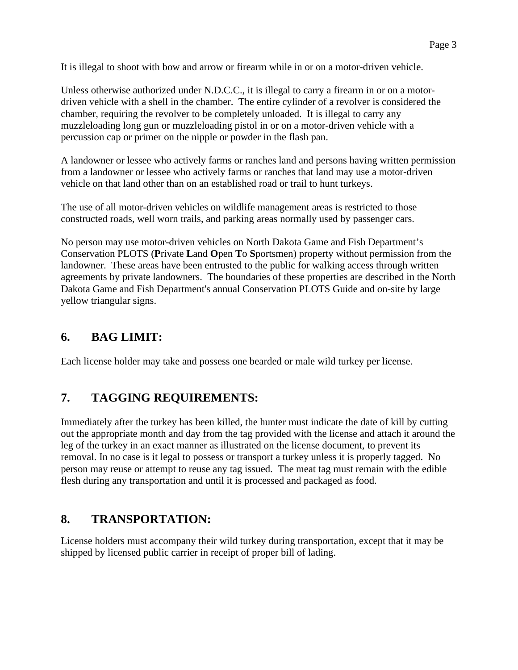It is illegal to shoot with bow and arrow or firearm while in or on a motor-driven vehicle.

Unless otherwise authorized under N.D.C.C., it is illegal to carry a firearm in or on a motordriven vehicle with a shell in the chamber. The entire cylinder of a revolver is considered the chamber, requiring the revolver to be completely unloaded. It is illegal to carry any muzzleloading long gun or muzzleloading pistol in or on a motor-driven vehicle with a percussion cap or primer on the nipple or powder in the flash pan.

A landowner or lessee who actively farms or ranches land and persons having written permission from a landowner or lessee who actively farms or ranches that land may use a motor-driven vehicle on that land other than on an established road or trail to hunt turkeys.

The use of all motor-driven vehicles on wildlife management areas is restricted to those constructed roads, well worn trails, and parking areas normally used by passenger cars.

No person may use motor-driven vehicles on North Dakota Game and Fish Department's Conservation PLOTS (**P**rivate **L**and **O**pen **T**o **S**portsmen) property without permission from the landowner. These areas have been entrusted to the public for walking access through written agreements by private landowners. The boundaries of these properties are described in the North Dakota Game and Fish Department's annual Conservation PLOTS Guide and on-site by large yellow triangular signs.

#### **6. BAG LIMIT:**

Each license holder may take and possess one bearded or male wild turkey per license.

#### **7. TAGGING REQUIREMENTS:**

Immediately after the turkey has been killed, the hunter must indicate the date of kill by cutting out the appropriate month and day from the tag provided with the license and attach it around the leg of the turkey in an exact manner as illustrated on the license document, to prevent its removal. In no case is it legal to possess or transport a turkey unless it is properly tagged. No person may reuse or attempt to reuse any tag issued. The meat tag must remain with the edible flesh during any transportation and until it is processed and packaged as food.

#### **8. TRANSPORTATION:**

License holders must accompany their wild turkey during transportation, except that it may be shipped by licensed public carrier in receipt of proper bill of lading.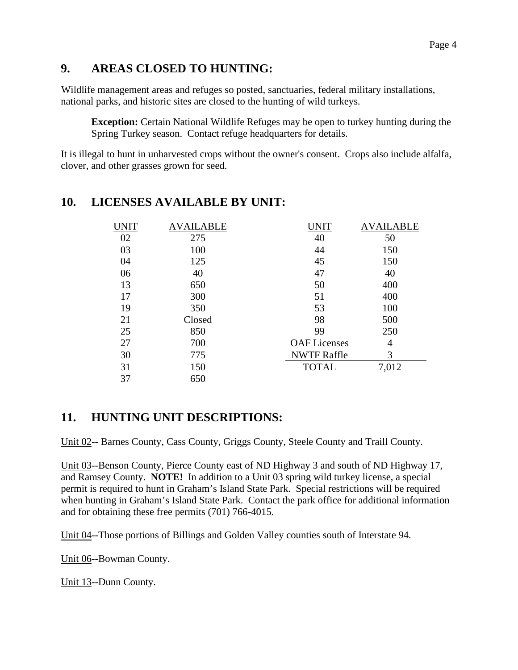#### **9. AREAS CLOSED TO HUNTING:**

Wildlife management areas and refuges so posted, sanctuaries, federal military installations, national parks, and historic sites are closed to the hunting of wild turkeys.

**Exception:** Certain National Wildlife Refuges may be open to turkey hunting during the Spring Turkey season. Contact refuge headquarters for details.

It is illegal to hunt in unharvested crops without the owner's consent. Crops also include alfalfa, clover, and other grasses grown for seed.

| <b>UNIT</b> | AVAILABLE | UNIT                | AVAILABLE |
|-------------|-----------|---------------------|-----------|
| 02          | 275       | 40                  | 50        |
| 03          | 100       | 44                  | 150       |
| 04          | 125       | 45                  | 150       |
| 06          | 40        | 47                  | 40        |
| 13          | 650       | 50                  | 400       |
| 17          | 300       | 51                  | 400       |
| 19          | 350       | 53                  | 100       |
| 21          | Closed    | 98                  | 500       |
| 25          | 850       | 99                  | 250       |
| 27          | 700       | <b>OAF</b> Licenses | 4         |
| 30          | 775       | <b>NWTF Raffle</b>  | 3         |
| 31          | 150       | <b>TOTAL</b>        | 7,012     |
| 37          | 650       |                     |           |

#### **10. LICENSES AVAILABLE BY UNIT:**

## **11. HUNTING UNIT DESCRIPTIONS:**

Unit 02-- Barnes County, Cass County, Griggs County, Steele County and Traill County.

Unit 03--Benson County, Pierce County east of ND Highway 3 and south of ND Highway 17, and Ramsey County. **NOTE!** In addition to a Unit 03 spring wild turkey license, a special permit is required to hunt in Graham's Island State Park. Special restrictions will be required when hunting in Graham's Island State Park. Contact the park office for additional information and for obtaining these free permits (701) 766-4015.

Unit 04--Those portions of Billings and Golden Valley counties south of Interstate 94.

Unit 06--Bowman County.

Unit 13--Dunn County.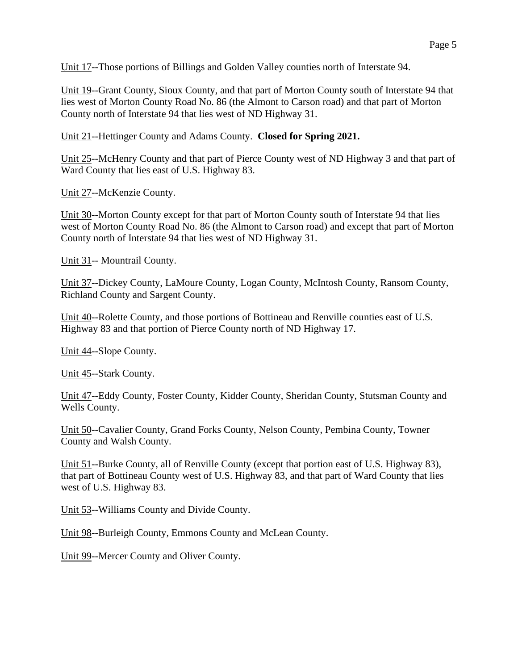Unit 17--Those portions of Billings and Golden Valley counties north of Interstate 94.

Unit 19--Grant County, Sioux County, and that part of Morton County south of Interstate 94 that lies west of Morton County Road No. 86 (the Almont to Carson road) and that part of Morton County north of Interstate 94 that lies west of ND Highway 31.

Unit 21--Hettinger County and Adams County. **Closed for Spring 2021.**

Unit 25--McHenry County and that part of Pierce County west of ND Highway 3 and that part of Ward County that lies east of U.S. Highway 83.

Unit 27--McKenzie County.

Unit 30--Morton County except for that part of Morton County south of Interstate 94 that lies west of Morton County Road No. 86 (the Almont to Carson road) and except that part of Morton County north of Interstate 94 that lies west of ND Highway 31.

Unit 31-- Mountrail County.

Unit 37--Dickey County, LaMoure County, Logan County, McIntosh County, Ransom County, Richland County and Sargent County.

Unit 40--Rolette County, and those portions of Bottineau and Renville counties east of U.S. Highway 83 and that portion of Pierce County north of ND Highway 17.

Unit 44--Slope County.

Unit 45--Stark County.

Unit 47--Eddy County, Foster County, Kidder County, Sheridan County, Stutsman County and Wells County.

Unit 50--Cavalier County, Grand Forks County, Nelson County, Pembina County, Towner County and Walsh County.

Unit 51--Burke County, all of Renville County (except that portion east of U.S. Highway 83), that part of Bottineau County west of U.S. Highway 83, and that part of Ward County that lies west of U.S. Highway 83.

Unit 53--Williams County and Divide County.

Unit 98--Burleigh County, Emmons County and McLean County.

Unit 99--Mercer County and Oliver County.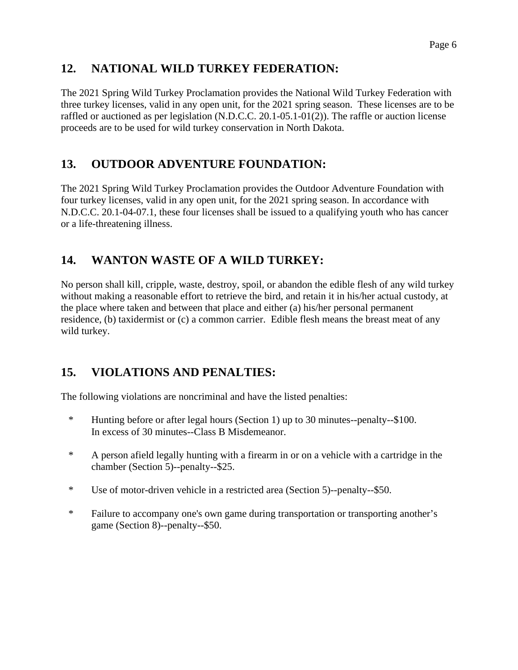## **12. NATIONAL WILD TURKEY FEDERATION:**

The 2021 Spring Wild Turkey Proclamation provides the National Wild Turkey Federation with three turkey licenses, valid in any open unit, for the 2021 spring season. These licenses are to be raffled or auctioned as per legislation (N.D.C.C. 20.1-05.1-01(2)). The raffle or auction license proceeds are to be used for wild turkey conservation in North Dakota.

## **13. OUTDOOR ADVENTURE FOUNDATION:**

The 2021 Spring Wild Turkey Proclamation provides the Outdoor Adventure Foundation with four turkey licenses, valid in any open unit, for the 2021 spring season. In accordance with N.D.C.C. 20.1-04-07.1, these four licenses shall be issued to a qualifying youth who has cancer or a life-threatening illness.

## **14. WANTON WASTE OF A WILD TURKEY:**

No person shall kill, cripple, waste, destroy, spoil, or abandon the edible flesh of any wild turkey without making a reasonable effort to retrieve the bird, and retain it in his/her actual custody, at the place where taken and between that place and either (a) his/her personal permanent residence, (b) taxidermist or (c) a common carrier. Edible flesh means the breast meat of any wild turkey.

#### **15. VIOLATIONS AND PENALTIES:**

The following violations are noncriminal and have the listed penalties:

- \* Hunting before or after legal hours (Section 1) up to 30 minutes--penalty--\$100. In excess of 30 minutes--Class B Misdemeanor.
- \* A person afield legally hunting with a firearm in or on a vehicle with a cartridge in the chamber (Section 5)--penalty--\$25.
- \* Use of motor-driven vehicle in a restricted area (Section 5)--penalty--\$50.
- \* Failure to accompany one's own game during transportation or transporting another's game (Section 8)--penalty--\$50.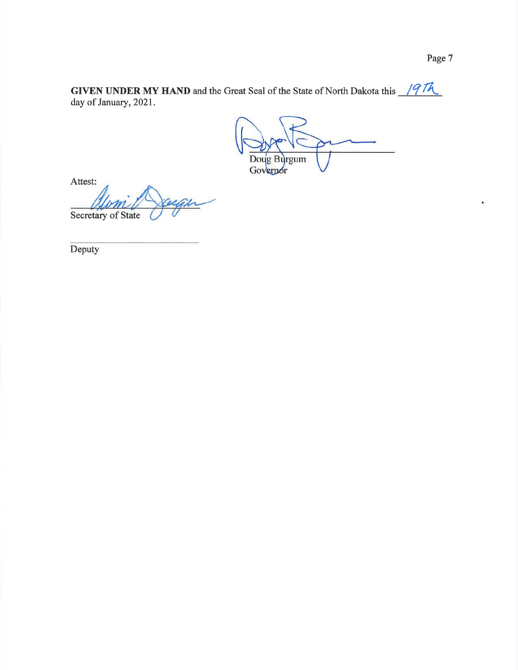$\bullet$ 

**GIVEN UNDER MY HAND** and the Great Seal of the State of North Dakota this  $\frac{\sqrt{77\lambda}}{\sqrt{77}}$ day of January, 2021.

Doug Burgum Governor

Attest: Secretary of State

Deputy